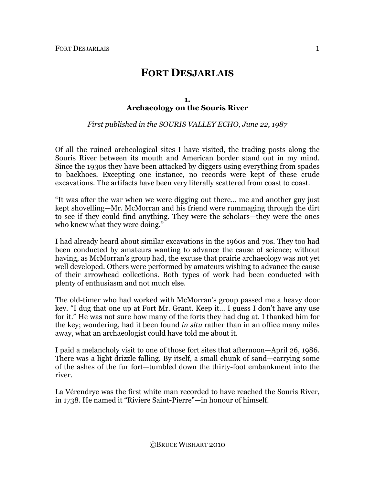# **FORT DESJARLAIS**

## **1. Archaeology on the Souris River**

*First published in the SOURIS VALLEY ECHO, June 22, 1987*

Of all the ruined archeological sites I have visited, the trading posts along the Souris River between its mouth and American border stand out in my mind. Since the 1930s they have been attacked by diggers using everything from spades to backhoes. Excepting one instance, no records were kept of these crude excavations. The artifacts have been very literally scattered from coast to coast.

"It was after the war when we were digging out there… me and another guy just kept shovelling—Mr. McMorran and his friend were rummaging through the dirt to see if they could find anything. They were the scholars—they were the ones who knew what they were doing."

I had already heard about similar excavations in the 1960s and 70s. They too had been conducted by amateurs wanting to advance the cause of science; without having, as McMorran's group had, the excuse that prairie archaeology was not yet well developed. Others were performed by amateurs wishing to advance the cause of their arrowhead collections. Both types of work had been conducted with plenty of enthusiasm and not much else.

The old-timer who had worked with McMorran's group passed me a heavy door key. "I dug that one up at Fort Mr. Grant. Keep it… I guess I don't have any use for it." He was not sure how many of the forts they had dug at. I thanked him for the key; wondering, had it been found *in situ* rather than in an office many miles away, what an archaeologist could have told me about it.

I paid a melancholy visit to one of those fort sites that afternoon—April 26, 1986. There was a light drizzle falling. By itself, a small chunk of sand—carrying some of the ashes of the fur fort—tumbled down the thirty-foot embankment into the river.

La Vérendrye was the first white man recorded to have reached the Souris River, in 1738. He named it "Riviere Saint-Pierre"—in honour of himself.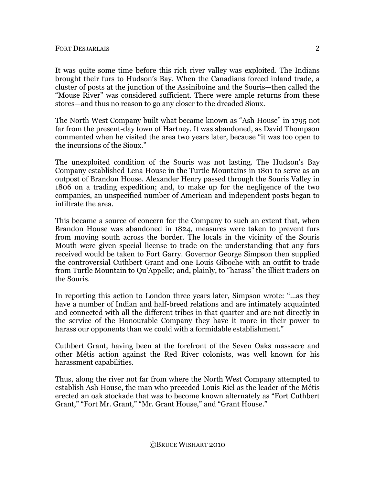It was quite some time before this rich river valley was exploited. The Indians brought their furs to Hudson's Bay. When the Canadians forced inland trade, a cluster of posts at the junction of the Assiniboine and the Souris—then called the "Mouse River" was considered sufficient. There were ample returns from these stores—and thus no reason to go any closer to the dreaded Sioux.

The North West Company built what became known as "Ash House" in 1795 not far from the present-day town of Hartney. It was abandoned, as David Thompson commented when he visited the area two years later, because "it was too open to the incursions of the Sioux."

The unexploited condition of the Souris was not lasting. The Hudson's Bay Company established Lena House in the Turtle Mountains in 1801 to serve as an outpost of Brandon House. Alexander Henry passed through the Souris Valley in 1806 on a trading expedition; and, to make up for the negligence of the two companies, an unspecified number of American and independent posts began to infiltrate the area.

This became a source of concern for the Company to such an extent that, when Brandon House was abandoned in 1824, measures were taken to prevent furs from moving south across the border. The locals in the vicinity of the Souris Mouth were given special license to trade on the understanding that any furs received would be taken to Fort Garry. Governor George Simpson then supplied the controversial Cuthbert Grant and one Louis Giboche with an outfit to trade from Turtle Mountain to Qu'Appelle; and, plainly, to "harass" the illicit traders on the Souris.

In reporting this action to London three years later, Simpson wrote: "…as they have a number of Indian and half-breed relations and are intimately acquainted and connected with all the different tribes in that quarter and are not directly in the service of the Honourable Company they have it more in their power to harass our opponents than we could with a formidable establishment."

Cuthbert Grant, having been at the forefront of the Seven Oaks massacre and other Métis action against the Red River colonists, was well known for his harassment capabilities.

Thus, along the river not far from where the North West Company attempted to establish Ash House, the man who preceded Louis Riel as the leader of the Métis erected an oak stockade that was to become known alternately as "Fort Cuthbert Grant," "Fort Mr. Grant," "Mr. Grant House," and "Grant House."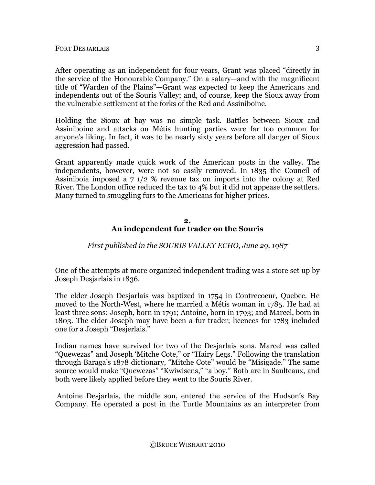After operating as an independent for four years, Grant was placed "directly in the service of the Honourable Company." On a salary—and with the magnificent title of "Warden of the Plains"—Grant was expected to keep the Americans and independents out of the Souris Valley; and, of course, keep the Sioux away from the vulnerable settlement at the forks of the Red and Assiniboine.

Holding the Sioux at bay was no simple task. Battles between Sioux and Assiniboine and attacks on Métis hunting parties were far too common for anyone's liking. In fact, it was to be nearly sixty years before all danger of Sioux aggression had passed.

Grant apparently made quick work of the American posts in the valley. The independents, however, were not so easily removed. In 1835 the Council of Assiniboia imposed a 7 1/2 % revenue tax on imports into the colony at Red River. The London office reduced the tax to 4% but it did not appease the settlers. Many turned to smuggling furs to the Americans for higher prices.

## **2. An independent fur trader on the Souris**

*First published in the SOURIS VALLEY ECHO, June 29, 1987*

One of the attempts at more organized independent trading was a store set up by Joseph Desjarlais in 1836.

The elder Joseph Desjarlais was baptized in 1754 in Contrecoeur, Quebec. He moved to the North-West, where he married a Métis woman in 1785. He had at least three sons: Joseph, born in 1791; Antoine, born in 1793; and Marcel, born in 1803. The elder Joseph may have been a fur trader; licences for 1783 included one for a Joseph "Desjerlais."

Indian names have survived for two of the Desjarlais sons. Marcel was called "Quewezas" and Joseph 'Mitche Cote," or "Hairy Legs." Following the translation through Baraga's 1878 dictionary, "Mitche Cote" would be "Misigade." The same source would make "Quewezas" "Kwiwisens," "a boy." Both are in Saulteaux, and both were likely applied before they went to the Souris River.

 Antoine Desjarlais, the middle son, entered the service of the Hudson's Bay Company. He operated a post in the Turtle Mountains as an interpreter from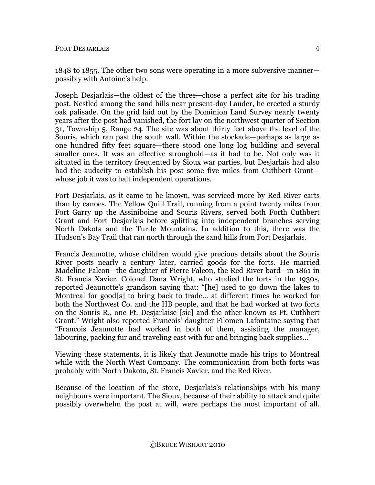1848 to 1855. The other two sons were operating in a more subversive manner possibly with Antoine's help.

Joseph Desjarlais—the oldest of the three—chose a perfect site for his trading post. Nestled among the sand hills near present-day Lauder, he erected a sturdy oak palisade. On the grid laid out by the Dominion Land Survey nearly twenty years after the post had vanished, the fort lay on the northwest quarter of Section 31, Township 5, Range 24. The site was about thirty feet above the level of the Souris, which ran past the south wall. Within the stockade—perhaps as large as one hundred fifty feet square—there stood one long log building and several smaller ones. It was an effective stronghold—as it had to be. Not only was it situated in the territory frequented by Sioux war parties, but Desjarlais had also had the audacity to establish his post some five miles from Cuthbert Grant whose job it was to halt independent operations.

Fort Desjarlais, as it came to be known, was serviced more by Red River carts than by canoes. The Yellow Quill Trail, running from a point twenty miles from Fort Garry up the Assiniboine and Souris Rivers, served both Forth Cuthbert Grant and Fort Desjarlais before splitting into independent branches serving North Dakota and the Turtle Mountains. In addition to this, there was the Hudson's Bay Trail that ran north through the sand hills from Fort Desjarlais.

Francis Jeaunotte, whose children would give precious details about the Souris River posts nearly a century later, carried goods for the forts. He married Madeline Falcon—the daughter of Pierre Falcon, the Red River bard—in 1861 in St. Francis Xavier. Colonel Dana Wright, who studied the forts in the 1930s, reported Jeaunotte's grandson saying that: "[he] used to go down the lakes to Montreal for good[s] to bring back to trade… at different times he worked for both the Northwest Co. and the HB people, and that he had worked at two forts on the Souris R., one Ft. Desjarlaise [sic] and the other known as Ft. Cuthbert Grant." Wright also reported Francois' daughter Filomen Lafontaine saying that "Francois Jeaunotte had worked in both of them, assisting the manager, labouring, packing fur and traveling east with fur and bringing back supplies…"

Viewing these statements, it is likely that Jeaunotte made his trips to Montreal while with the North West Company. The communication from both forts was probably with North Dakota, St. Francis Xavier, and the Red River.

Because of the location of the store, Desjarlais's relationships with his many neighbours were important. The Sioux, because of their ability to attack and quite possibly overwhelm the post at will, were perhaps the most important of all.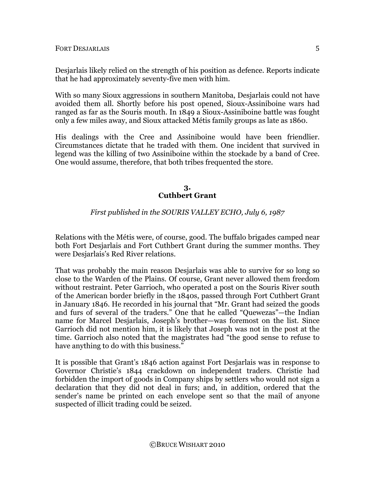Desjarlais likely relied on the strength of his position as defence. Reports indicate that he had approximately seventy-five men with him.

With so many Sioux aggressions in southern Manitoba, Desjarlais could not have avoided them all. Shortly before his post opened, Sioux-Assiniboine wars had ranged as far as the Souris mouth. In 1849 a Sioux-Assiniboine battle was fought only a few miles away, and Sioux attacked Métis family groups as late as 1860.

His dealings with the Cree and Assiniboine would have been friendlier. Circumstances dictate that he traded with them. One incident that survived in legend was the killing of two Assiniboine within the stockade by a band of Cree. One would assume, therefore, that both tribes frequented the store.

#### **3. Cuthbert Grant**

# *First published in the SOURIS VALLEY ECHO, July 6, 1987*

Relations with the Métis were, of course, good. The buffalo brigades camped near both Fort Desjarlais and Fort Cuthbert Grant during the summer months. They were Desjarlais's Red River relations.

That was probably the main reason Desjarlais was able to survive for so long so close to the Warden of the Plains. Of course, Grant never allowed them freedom without restraint. Peter Garrioch, who operated a post on the Souris River south of the American border briefly in the 1840s, passed through Fort Cuthbert Grant in January 1846. He recorded in his journal that "Mr. Grant had seized the goods and furs of several of the traders." One that he called "Quewezas"—the Indian name for Marcel Desjarlais, Joseph's brother—was foremost on the list. Since Garrioch did not mention him, it is likely that Joseph was not in the post at the time. Garrioch also noted that the magistrates had "the good sense to refuse to have anything to do with this business."

It is possible that Grant's 1846 action against Fort Desjarlais was in response to Governor Christie's 1844 crackdown on independent traders. Christie had forbidden the import of goods in Company ships by settlers who would not sign a declaration that they did not deal in furs; and, in addition, ordered that the sender's name be printed on each envelope sent so that the mail of anyone suspected of illicit trading could be seized.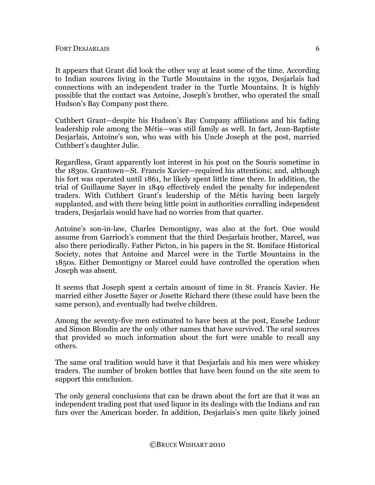It appears that Grant did look the other way at least some of the time. According to Indian sources living in the Turtle Mountains in the 1930s, Desjarlais had connections with an independent trader in the Turtle Mountains. It is highly possible that the contact was Antoine, Joseph's brother, who operated the small Hudson's Bay Company post there.

Cuthbert Grant—despite his Hudson's Bay Company affiliations and his fading leadership role among the Métis—was still family as well. In fact, Jean-Baptiste Desjarlais, Antoine's son, who was with his Uncle Joseph at the post, married Cuthbert's daughter Julie.

Regardless, Grant apparently lost interest in his post on the Souris sometime in the 1830s. Grantown—St. Francis Xavier—required his attentions; and, although his fort was operated until 1861, he likely spent little time there. In addition, the trial of Guillaume Sayer in 1849 effectively ended the penalty for independent traders. With Cuthbert Grant's leadership of the Métis having been largely supplanted, and with there being little point in authorities corralling independent traders, Desjarlais would have had no worries from that quarter.

Antoine's son-in-law, Charles Demontigny, was also at the fort. One would assume from Garrioch's comment that the third Desjarlais brother, Marcel, was also there periodically. Father Picton, in his papers in the St. Boniface Historical Society, notes that Antoine and Marcel were in the Turtle Mountains in the 1850s. Either Demontigny or Marcel could have controlled the operation when Joseph was absent.

It seems that Joseph spent a certain amount of time in St. Francis Xavier. He married either Josette Sayer or Josette Richard there (these could have been the same person), and eventually had twelve children.

Among the seventy-five men estimated to have been at the post, Eusebe Ledour and Simon Blondin are the only other names that have survived. The oral sources that provided so much information about the fort were unable to recall any others.

The same oral tradition would have it that Desjarlais and his men were whiskey traders. The number of broken bottles that have been found on the site seem to support this conclusion.

The only general conclusions that can be drawn about the fort are that it was an independent trading post that used liquor in its dealings with the Indians and ran furs over the American border. In addition, Desjarlais's men quite likely joined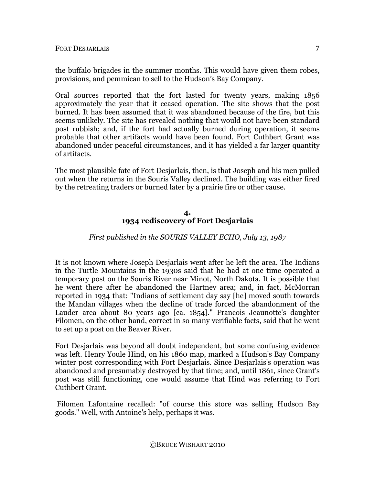the buffalo brigades in the summer months. This would have given them robes, provisions, and pemmican to sell to the Hudson's Bay Company.

Oral sources reported that the fort lasted for twenty years, making 1856 approximately the year that it ceased operation. The site shows that the post burned. It has been assumed that it was abandoned because of the fire, but this seems unlikely. The site has revealed nothing that would not have been standard post rubbish; and, if the fort had actually burned during operation, it seems probable that other artifacts would have been found. Fort Cuthbert Grant was abandoned under peaceful circumstances, and it has yielded a far larger quantity of artifacts.

The most plausible fate of Fort Desjarlais, then, is that Joseph and his men pulled out when the returns in the Souris Valley declined. The building was either fired by the retreating traders or burned later by a prairie fire or other cause.

### **4. 1934 rediscovery of Fort Desjarlais**

# *First published in the SOURIS VALLEY ECHO, July 13, 1987*

It is not known where Joseph Desjarlais went after he left the area. The Indians in the Turtle Mountains in the 1930s said that he had at one time operated a temporary post on the Souris River near Minot, North Dakota. It is possible that he went there after he abandoned the Hartney area; and, in fact, McMorran reported in 1934 that: "Indians of settlement day say [he] moved south towards the Mandan villages when the decline of trade forced the abandonment of the Lauder area about 80 years ago [ca. 1854]." Francois Jeaunotte's daughter Filomen, on the other hand, correct in so many verifiable facts, said that he went to set up a post on the Beaver River.

Fort Desjarlais was beyond all doubt independent, but some confusing evidence was left. Henry Youle Hind, on his 1860 map, marked a Hudson's Bay Company winter post corresponding with Fort Desjarlais. Since Desjarlais's operation was abandoned and presumably destroyed by that time; and, until 1861, since Grant's post was still functioning, one would assume that Hind was referring to Fort Cuthbert Grant.

 Filomen Lafontaine recalled: "of course this store was selling Hudson Bay goods." Well, with Antoine's help, perhaps it was.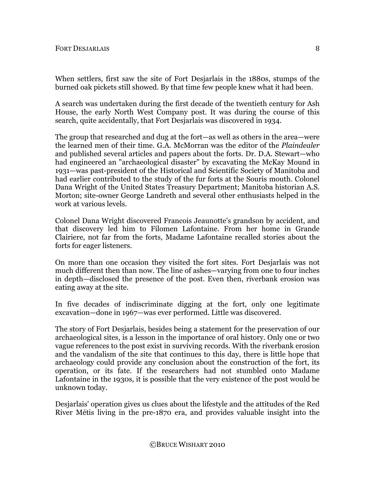When settlers, first saw the site of Fort Desjarlais in the 1880s, stumps of the burned oak pickets still showed. By that time few people knew what it had been.

A search was undertaken during the first decade of the twentieth century for Ash House, the early North West Company post. It was during the course of this search, quite accidentally, that Fort Desjarlais was discovered in 1934.

The group that researched and dug at the fort—as well as others in the area—were the learned men of their time. G.A. McMorran was the editor of the *Plaindealer* and published several articles and papers about the forts. Dr. D.A. Stewart—who had engineered an "archaeological disaster" by excavating the McKay Mound in 1931—was past-president of the Historical and Scientific Society of Manitoba and had earlier contributed to the study of the fur forts at the Souris mouth. Colonel Dana Wright of the United States Treasury Department; Manitoba historian A.S. Morton; site-owner George Landreth and several other enthusiasts helped in the work at various levels.

Colonel Dana Wright discovered Francois Jeaunotte's grandson by accident, and that discovery led him to Filomen Lafontaine. From her home in Grande Clairiere, not far from the forts, Madame Lafontaine recalled stories about the forts for eager listeners.

On more than one occasion they visited the fort sites. Fort Desjarlais was not much different then than now. The line of ashes—varying from one to four inches in depth—disclosed the presence of the post. Even then, riverbank erosion was eating away at the site.

In five decades of indiscriminate digging at the fort, only one legitimate excavation—done in 1967—was ever performed. Little was discovered.

The story of Fort Desjarlais, besides being a statement for the preservation of our archaeological sites, is a lesson in the importance of oral history. Only one or two vague references to the post exist in surviving records. With the riverbank erosion and the vandalism of the site that continues to this day, there is little hope that archaeology could provide any conclusion about the construction of the fort, its operation, or its fate. If the researchers had not stumbled onto Madame Lafontaine in the 1930s, it is possible that the very existence of the post would be unknown today.

Desjarlais' operation gives us clues about the lifestyle and the attitudes of the Red River Métis living in the pre-1870 era, and provides valuable insight into the